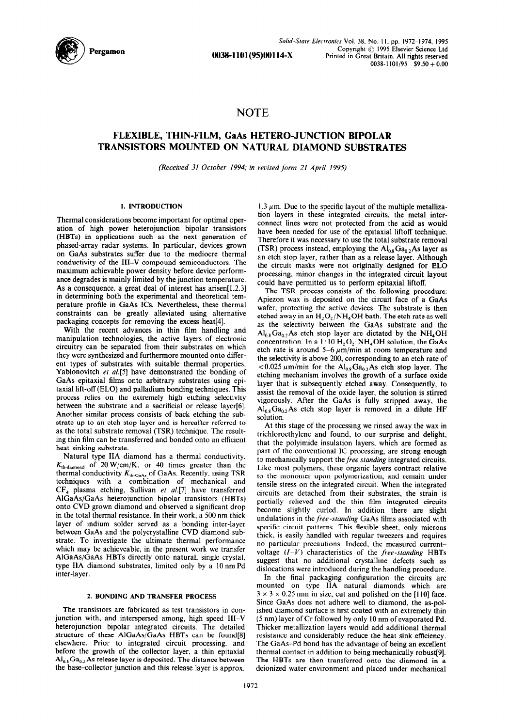

**So/i&S/ate Elecfronics** Vol. **38, No.** I I, pp. **1972-1974, 1995 0038-l 101(95)00114-x**  Copyright  $\odot$  1995 Elsevier Science Ltd **Printed in Great Britain. All rights reserved**   $0.038 - 1101/95$  \$9.50 + 0.00

# **NOTE**

## **FLEXIBLE, THIN-FILM, GaAs HETERO-JUNCTION BIPOLAR TRANSISTORS MOUNTED ON NATURAL DIAMOND SUBSTRATES**

*(Received 31 October 1994; in revised* **form** *21 April 1995)* 

### **1. INTRODUCTION**

Thermal considerations *hecome* important for optimal operation of high power heterojunction bipolar transistors (HBTs) in applications such as the next generation of phased-array radar systems. In particular, devices grown on GaAs substrates suffer due to the mediocre thermal conductivity of the III-V compound semiconductors. The maximum achievable power density before device performance degrades is mainly limited by the junction temperature. As a consequence, a great deal of interest has arisen $[1,2,3]$ in determining both the experimental and theoretical temperature profile in GaAs ICs. Nevertheless, these thermal constraints can be greatly alleviated using alternative packaging concepts for removing the excess heat[4].

With the recent advances in thin film handling and manipulation technologies, the active layers of electronic circuitry can be separated from their substrates on which they were synthesized and furthermore mounted onto different types of substrates with suitable thermal properties. Yablonovitch et al.<sup>[5]</sup> have demonstrated the bonding of GaAs epitaxial films onto arbitrary substrates using epitaxial lift-off (ELO) and palladium bonding techniques. This process relies on the extremely high etching selectivity between the substrate and a sacrificial or release layer[6]. Another similar process consists of back etching the substrate up to an etch stop layer and is hereafter referred to as the total substrate removal (TSR) technique. The resulting thin film can be transferred and bonded onto an efficient heat sinking substrate.

Natural type IIA diamond has a thermal conductivity,  $K_{\text{th-diamond}}$  of 20 W/cm/K, or 40 times greater than the thermal conductivity *K,h\_GaAr* of GaAs. Recently, using TSR techniques with a combination of mechanical and  $CF<sub>4</sub>$  plasma etching, Sullivan et al.[7] have transferred AIGaAs/GaAs heterojunction bipolar transistors (HBTs) onto CVD grown diamond and observed a significant drop in the total thermal resistance. In their work, a 500 nm thick layer of indium solder served as a bonding inter-layer between GaAs and the polycrystalline CVD diamond substrate. To investigate the ultimate thermal performance which may be achieveable, in the present work we transfer AlGaAs/GaAs HBTs directly onto natural, single crystal, type IIA diamond substrates. limited only by a IO nm Pd inter-layer.

#### 2. BONDING **AND TRANSFER PROCESS**

The transistors are fabricated as test transistors in conjunction with, and interspersed among, high speed  $III-V$ heterojunction bipolar integrated circuits. The detailed structure of these AlGaAs/GaAs HBTs can be found[8] elsewhere. Prior to integrated circuit processing, and before the growth of the collector layer, a thin epitaxial  $\text{Al}_{0.8}\text{Ga}_{0.2}\text{As}$  release layer is deposited. The distance between the base-collector junction and this release layer is approx.

1.3  $\mu$ m. Due to the specific layout of the multiple metallization layers in these integrated circuits, the metal interconnect lines were not protected from the acid as would have been needed for use of the epitaxial liftoff technique. Therefore it was necessary to use the total substrate removal (TSR) process instead, employing the  $Al_{0.8}Ga_{0.2}As$  layer as an etch stop layer, rather than as a release layer. Although the circuit masks were not originally designed for EL0 processing, minor changes in the integrated circuit layout could have permitted us to perform epitaxial liftoff.

The TSR process consists of the following procedure: Apiezon wax is deposited on the circuit face of a GaAs wafer, protecting the active devices. The substrate is then etched away in an  $H_2O_2/NH_4OH$  bath. The etch rate as well as the selectivity between the GaAs substrate and the  $Al_{0.8}Ga_{0.2}As$  etch stop layer are dictated by the NH, OH concentration. In a  $1:10 \text{ H}$ , O<sub>2</sub>:NH, OH solution, the GaAs etch rate is around  $5-6 \mu m/min$  at room temperature and the selectivity is above 200, corresponding to an etch rate of  $10.025 \,\mu$ m/min for the Al<sub>0.8</sub>Ga<sub>0.2</sub>As etch stop layer. The etching mechanism involves the growth of a surface **oxide**  layer that is subsequently etched away. Consequently, to assist the removal of the oxide layer, the solution is stirred vigorously. After the GaAs is fully stripped away, the  $Al_{0.8}Ga_{0.2}As$  etch stop layer is removed in a dilute HF solution.

At this stage of the processing we rinsed away the wax in trichloroethylene and found, to our surprise and delight, that the polyimide insulation layers, which are formed as part of the conventional IC processing, are strong enough to mechanically support thefree *standing* integrated circuits. Like most polymers, these organic layers contract relative to the monomer upon polymerization, and remain under tensile stress on the integrated circuit. When the integrated circuits are detached from their substrates, the strain is partially relieved and the thin film integrated circuits become slightly curled. In addition there are slight undulations in *the/Fee-standing* GaAs films associated with specific circuit patterns. This flexible sheet, only microns thick, is easily handled with regular tweezers and requires no particular precautions. Indeed. the measured currentvoltage  $(I-V)$  characteristics of the *free-standing* **HBTs** suggest that no additional crystalline defects such as dislocations were introduced during the handling procedure.

In the final packaging configuration the circuits are mounted on type IIA **natural diamonds which are**   $3 \times 3 \times 0.25$  mm in size, cut and polished on the [110] face. Since GaAs does not adhere well to diamond, the as-polished diamond surface is first coated with an extremely thin (5 nm) layer of Cr followed by only IO nm of evaporated Pd. Thicker metallization layers would add additional thermal resistance and considerably reduce the heat sink efficiency. The GaAs-Pd bond has the advantage of being an excellent thermal contact in addition to being mechanically robust[9]. The HBTs are then transferred onto the diamond in a deionized water environment and placed under mechanical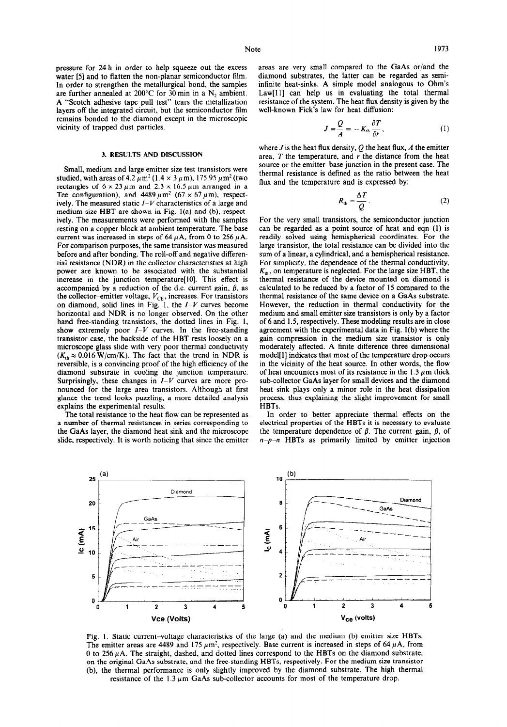pressure for 24 h in order to help squeeze out the excess water [5] and to flatten the non-planar semiconductor film. In order to strengthen the metallurgical bond, the samples are further annealed at 200°C for 30 min in a  $N_2$  ambient. A "Scotch adhesive tape pull test" tears the metallization layers off the integrated circuit, but the semiconductor film remains bonded to the diamond except in the microscopic vicinity of trapped dust particles.

#### 3. RESULTS AND DISCUSSION

Small, medium and large emitter size test transistors were studied, with areas of 4.2  $\mu$ m<sup>2</sup> (1.4 × 3  $\mu$ m), 175.95  $\mu$ m<sup>2</sup> (two rectangles of  $6 \times 23 \mu$ m and  $2.3 \times 16.5 \mu$ m arranged in a Tee configuration), and  $4489 \mu m^2$  (67 × 67  $\mu$ m), respectively. The measured static  $I-V$  characteristics of a large and medium size HBT are shown in Fig. l(a) and (b), respectively. The measurements were performed with the samples resting on a copper block at ambient temperature. The base current was increased in steps of 64  $\mu$ A, from 0 to 256  $\mu$ A. For comparison purposes, the same transistor was measured before and after bonding. The roll-off and negative differential resistance (NDR) in the collector characteristics at high power are known to be associated with the substantial increase in the junction temperature[lO]. This effect is accompanied by a reduction of the d.c. current gain,  $\beta$ , as the collector-emitter voltage,  $V_{CE}$ , increases. For transistors on diamond, solid lines in Fig. 1, the  $I-V$  curves become horizontal and NDR is no longer observed. On the other hand free-standing transistors, the dotted lines in Fig. I, show extremely poor  $I-V$  curves. In the free-standing transistor case, the backside of the HBT rests loosely on a microscope glass slide with very poor thermal conductivity  $(K<sub>th</sub> \approx 0.016 \text{ W/cm/K})$ . The fact that the trend in NDR is reversible, is a convincing proof of the high efficiency of the diamond substrate in cooling the junction temperature. Surprisingly, these changes in *I-V* curves are more pronounced for the large area transistors. Although at first glance the trend looks puzzling, a more detailed analysis explains the experimental results.

The total resistance to the heat flow can be represented as a number of thermal resistances in series corresponding to the GaAs layer, the diamond heat sink and the microscope slide, respectively. It is worth noticing that since the emitter areas are very small compared to the GaAs or/and the diamond substrates, the latter can be regarded as semiinfinite heat-sinks. A simple model analogous to Ohm's Law[11] can help us in evaluating the total thermal resistance of the system. The heat flux density is given by the well-known Fick's law for heat diffusion:

$$
J = \frac{Q}{A} = -K_{\text{th}} \frac{\partial T}{\partial r}, \qquad (1)
$$

where J is the heat flux density, Q the heat flux, *A* the emitter area,  $T$  the temperature, and  $r$  the distance from the heat source or the emitter-base junction in the present case. The thermal resistance is defined as the ratio between the heat flux and the temperature and is expressed by:

$$
R_{\rm th} = \frac{\Delta T}{Q} \,. \tag{2}
$$

For the very small transistors, the semiconductor junction can be regarded as a point source of heat and eqn (I) is readily solved using hemispherical coordinates. For the large transistor, the total resistance can be divided into the sum of a linear, a cylindrical, and a hemispherical resistance. For simplicity, the dependence of the thermal conductivity,  $K_{th}$ , on temperature is neglected. For the large size HBT, the thermal resistance of the device mounted on diamond is calculated to be reduced by a factor of 15 compared to the thermal resistance of the same device on a GaAs substrate. However, the reduction in thermal conductivity for the medium and small emitter size transistors is only by a factor of 6 and 1.5, respectively. These modeling results are in close agreement with the experimental data in Fig. I(b) where the gain compression in the medium size transistor is only moderately affected. A finite difference three dimensional model[l] indicates that most of the temperature drop occurs in the vicinity of the heat source. In other words, the flow of heat encounters most of its resistance in the 1.3  $\mu$ m thick sub-collector GaAs layer for small devices and the diamond heat sink plays only a minor role in the heat dissipation process, thus explaining the slight improvement for small HBTs.

In order to better appreciate thermal effects on the electrical properties of the HBTs it is necessary to evaluate the temperature dependence of  $\beta$ . The current gain,  $\beta$ , of  $n-p-n$  HBTs as primarily limited by emitter injection



Fig. I. Static current-voltage characteristics of the large (a) and the medium (b) emitter size HBTs. The emitter areas are 4489 and 175  $\mu$ m<sup>2</sup>, respectively. Base current is increased in steps of 64  $\mu$ A, from 0 to 256  $\mu$ A. The straight, dashed, and dotted lines correspond to the HBTs on the diamond substrate, on the original GaAs substrate, and the free-standing HBTs, respectively. For the medium size transistor (b), the thermal performance is only slightly improved by the diamond substrate. The high thermal resistance of the  $1.3 \mu$ m GaAs sub-collector accounts for most of the temperature drop.